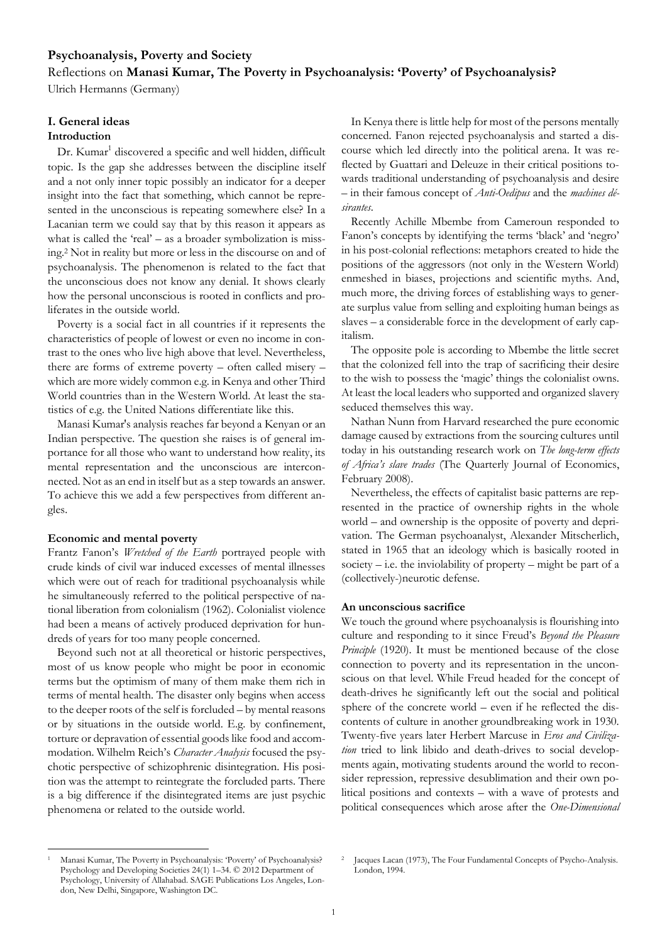# **Psychoanalysis, Poverty and Society**

# Reflections on **Manasi Kumar, The Poverty in Psychoanalysis: 'Poverty' of Psychoanalysis?**

Ulrich Hermanns (Germany)

# **I. General ideas**

# **Introduction**

Dr. Kumar<sup>1</sup> discovered a specific and well hidden, difficult topic. Is the gap she addresses between the discipline itself and a not only inner topic possibly an indicator for a deeper insight into the fact that something, which cannot be represented in the unconscious is repeating somewhere else? In a Lacanian term we could say that by this reason it appears as what is called the 'real' – as a broader symbolization is missing.<sup>2</sup> Not in reality but more or less in the discourse on and of psychoanalysis. The phenomenon is related to the fact that the unconscious does not know any denial. It shows clearly how the personal unconscious is rooted in conflicts and proliferates in the outside world.

Poverty is a social fact in all countries if it represents the characteristics of people of lowest or even no income in contrast to the ones who live high above that level. Nevertheless, there are forms of extreme poverty – often called misery – which are more widely common e.g. in Kenya and other Third World countries than in the Western World. At least the statistics of e.g. the United Nations differentiate like this.

Manasi Kumar's analysis reaches far beyond a Kenyan or an Indian perspective. The question she raises is of general importance for all those who want to understand how reality, its mental representation and the unconscious are interconnected. Not as an end in itself but as a step towards an answer. To achieve this we add a few perspectives from different angles.

### **Economic and mental poverty**

Frantz Fanon's *Wretched of the Earth* portrayed people with crude kinds of civil war induced excesses of mental illnesses which were out of reach for traditional psychoanalysis while he simultaneously referred to the political perspective of national liberation from colonialism (1962). Colonialist violence had been a means of actively produced deprivation for hundreds of years for too many people concerned.

Beyond such not at all theoretical or historic perspectives, most of us know people who might be poor in economic terms but the optimism of many of them make them rich in terms of mental health. The disaster only begins when access to the deeper roots of the self is forcluded – by mental reasons or by situations in the outside world. E.g. by confinement, torture or depravation of essential goods like food and accommodation. Wilhelm Reich's *Character Analysis* focused the psychotic perspective of schizophrenic disintegration. His position was the attempt to reintegrate the forcluded parts. There is a big difference if the disintegrated items are just psychic phenomena or related to the outside world.

In Kenya there is little help for most of the persons mentally concerned. Fanon rejected psychoanalysis and started a discourse which led directly into the political arena. It was reflected by Guattari and Deleuze in their critical positions towards traditional understanding of psychoanalysis and desire – in their famous concept of *Anti-Oedipus* and the *machines désirantes*.

Recently Achille Mbembe from Cameroun responded to Fanon's concepts by identifying the terms 'black' and 'negro' in his post-colonial reflections: metaphors created to hide the positions of the aggressors (not only in the Western World) enmeshed in biases, projections and scientific myths. And, much more, the driving forces of establishing ways to generate surplus value from selling and exploiting human beings as slaves – a considerable force in the development of early capitalism.

The opposite pole is according to Mbembe the little secret that the colonized fell into the trap of sacrificing their desire to the wish to possess the 'magic' things the colonialist owns. At least the local leaders who supported and organized slavery seduced themselves this way.

Nathan Nunn from Harvard researched the pure economic damage caused by extractions from the sourcing cultures until today in his outstanding research work on *The long-term effects of Africa's slave trades* (The Quarterly Journal of Economics, February 2008).

Nevertheless, the effects of capitalist basic patterns are represented in the practice of ownership rights in the whole world – and ownership is the opposite of poverty and deprivation. The German psychoanalyst, Alexander Mitscherlich, stated in 1965 that an ideology which is basically rooted in society  $-$  i.e. the inviolability of property  $-$  might be part of a (collectively-)neurotic defense.

### **An unconscious sacrifice**

We touch the ground where psychoanalysis is flourishing into culture and responding to it since Freud's *Beyond the Pleasure Principle* (1920). It must be mentioned because of the close connection to poverty and its representation in the unconscious on that level. While Freud headed for the concept of death-drives he significantly left out the social and political sphere of the concrete world – even if he reflected the discontents of culture in another groundbreaking work in 1930. Twenty-five years later Herbert Marcuse in *Eros and Civilization* tried to link libido and death-drives to social developments again, motivating students around the world to reconsider repression, repressive desublimation and their own political positions and contexts – with a wave of protests and political consequences which arose after the *One-Dimensional* 

 $\overline{a}$ <sup>1</sup> Manasi Kumar, The Poverty in Psychoanalysis: 'Poverty' of Psychoanalysis? Psychology and Developing Societies 24(1) 1–34. © 2012 Department of Psychology, University of Allahabad. SAGE Publications Los Angeles, London, New Delhi, Singapore, Washington DC.

<sup>2</sup> Jacques Lacan (1973), The Four Fundamental Concepts of Psycho-Analysis. London, 1994.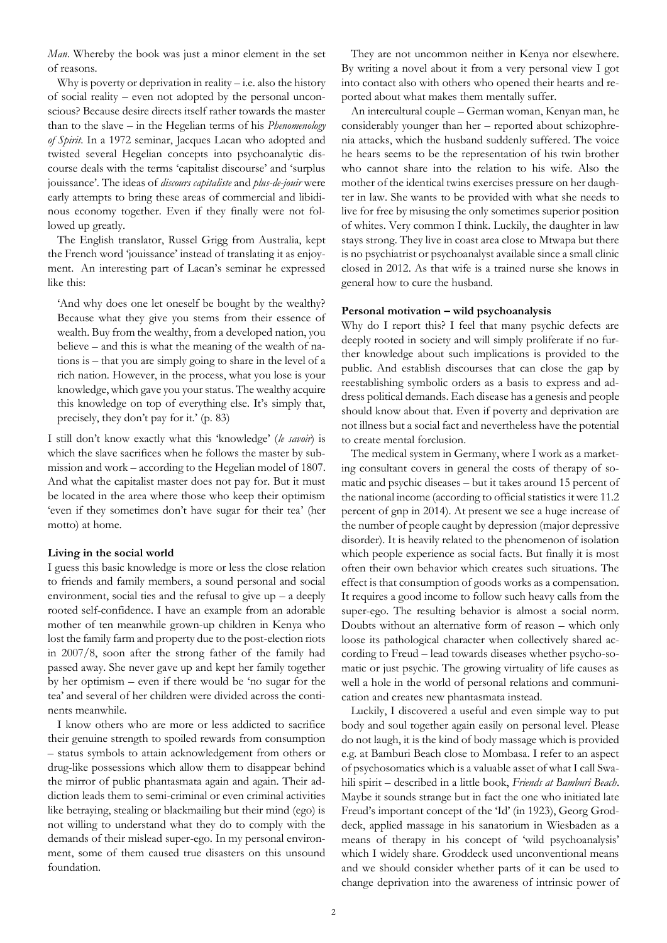*Man*. Whereby the book was just a minor element in the set of reasons.

Why is poverty or deprivation in reality  $-i.e.$  also the history of social reality – even not adopted by the personal unconscious? Because desire directs itself rather towards the master than to the slave – in the Hegelian terms of his *Phenomenology of Spirit*. In a 1972 seminar, Jacques Lacan who adopted and twisted several Hegelian concepts into psychoanalytic discourse deals with the terms 'capitalist discourse' and 'surplus jouissance'. The ideas of *discours capitaliste* and *plus-de-jouir* were early attempts to bring these areas of commercial and libidinous economy together. Even if they finally were not followed up greatly.

The English translator, Russel Grigg from Australia, kept the French word 'jouissance' instead of translating it as enjoyment. An interesting part of Lacan's seminar he expressed like this:

'And why does one let oneself be bought by the wealthy? Because what they give you stems from their essence of wealth. Buy from the wealthy, from a developed nation, you believe – and this is what the meaning of the wealth of nations is – that you are simply going to share in the level of a rich nation. However, in the process, what you lose is your knowledge, which gave you your status. The wealthy acquire this knowledge on top of everything else. It's simply that, precisely, they don't pay for it.' (p. 83)

I still don't know exactly what this 'knowledge' (*le savoir*) is which the slave sacrifices when he follows the master by submission and work – according to the Hegelian model of 1807. And what the capitalist master does not pay for. But it must be located in the area where those who keep their optimism 'even if they sometimes don't have sugar for their tea' (her motto) at home.

### **Living in the social world**

I guess this basic knowledge is more or less the close relation to friends and family members, a sound personal and social environment, social ties and the refusal to give  $up - a$  deeply rooted self-confidence. I have an example from an adorable mother of ten meanwhile grown-up children in Kenya who lost the family farm and property due to the post-election riots in 2007/8, soon after the strong father of the family had passed away. She never gave up and kept her family together by her optimism – even if there would be 'no sugar for the tea' and several of her children were divided across the continents meanwhile.

I know others who are more or less addicted to sacrifice their genuine strength to spoiled rewards from consumption – status symbols to attain acknowledgement from others or drug-like possessions which allow them to disappear behind the mirror of public phantasmata again and again. Their addiction leads them to semi-criminal or even criminal activities like betraying, stealing or blackmailing but their mind (ego) is not willing to understand what they do to comply with the demands of their mislead super-ego. In my personal environment, some of them caused true disasters on this unsound foundation.

They are not uncommon neither in Kenya nor elsewhere. By writing a novel about it from a very personal view I got into contact also with others who opened their hearts and reported about what makes them mentally suffer.

An intercultural couple – German woman, Kenyan man, he considerably younger than her – reported about schizophrenia attacks, which the husband suddenly suffered. The voice he hears seems to be the representation of his twin brother who cannot share into the relation to his wife. Also the mother of the identical twins exercises pressure on her daughter in law. She wants to be provided with what she needs to live for free by misusing the only sometimes superior position of whites. Very common I think. Luckily, the daughter in law stays strong. They live in coast area close to Mtwapa but there is no psychiatrist or psychoanalyst available since a small clinic closed in 2012. As that wife is a trained nurse she knows in general how to cure the husband.

## **Personal motivation – wild psychoanalysis**

Why do I report this? I feel that many psychic defects are deeply rooted in society and will simply proliferate if no further knowledge about such implications is provided to the public. And establish discourses that can close the gap by reestablishing symbolic orders as a basis to express and address political demands. Each disease has a genesis and people should know about that. Even if poverty and deprivation are not illness but a social fact and nevertheless have the potential to create mental forclusion.

The medical system in Germany, where I work as a marketing consultant covers in general the costs of therapy of somatic and psychic diseases – but it takes around 15 percent of the national income (according to official statistics it were 11.2 percent of gnp in 2014). At present we see a huge increase of the number of people caught by depression (major depressive disorder). It is heavily related to the phenomenon of isolation which people experience as social facts. But finally it is most often their own behavior which creates such situations. The effect is that consumption of goods works as a compensation. It requires a good income to follow such heavy calls from the super-ego. The resulting behavior is almost a social norm. Doubts without an alternative form of reason – which only loose its pathological character when collectively shared according to Freud – lead towards diseases whether psycho-somatic or just psychic. The growing virtuality of life causes as well a hole in the world of personal relations and communication and creates new phantasmata instead.

Luckily, I discovered a useful and even simple way to put body and soul together again easily on personal level. Please do not laugh, it is the kind of body massage which is provided e.g. at Bamburi Beach close to Mombasa. I refer to an aspect of psychosomatics which is a valuable asset of what I call Swahili spirit – described in a little book, *Friends at Bamburi Beach*. Maybe it sounds strange but in fact the one who initiated late Freud's important concept of the 'Id' (in 1923), Georg Groddeck, applied massage in his sanatorium in Wiesbaden as a means of therapy in his concept of 'wild psychoanalysis' which I widely share. Groddeck used unconventional means and we should consider whether parts of it can be used to change deprivation into the awareness of intrinsic power of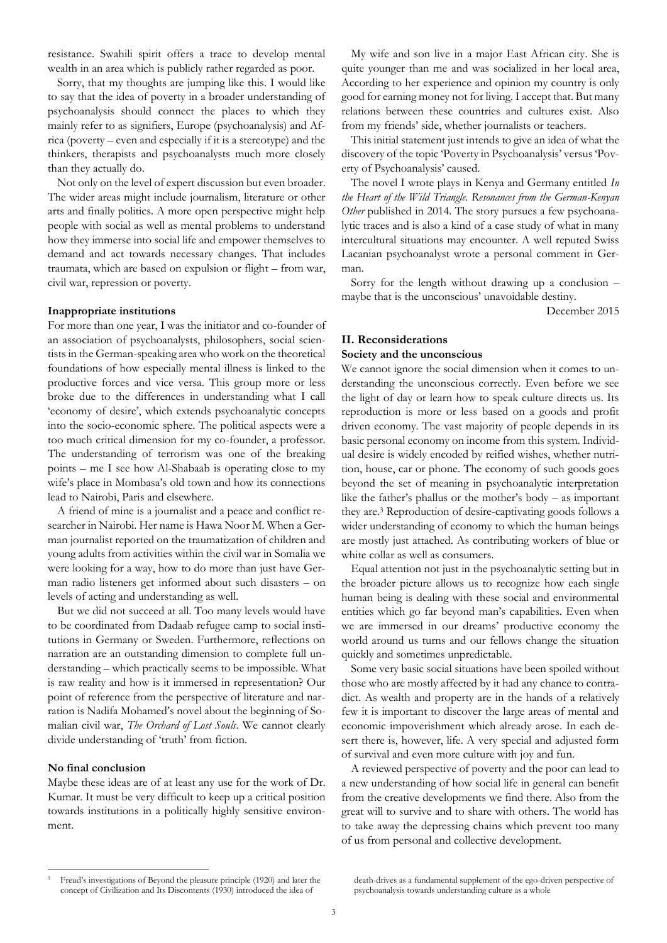resistance. Swahili spirit offers a trace to develop mental wealth in an area which is publicly rather regarded as poor.

Sorry, that my thoughts are jumping like this. I would like to say that the idea of poverty in a broader understanding of psychoanalysis should connect the places to which they mainly refer to as signifiers, Europe (psychoanalysis) and Africa (poverty – even and especially if it is a stereotype) and the thinkers, therapists and psychoanalysts much more closely than they actually do.

Not only on the level of expert discussion but even broader. The wider areas might include journalism, literature or other arts and finally politics. A more open perspective might help people with social as well as mental problems to understand how they immerse into social life and empower themselves to demand and act towards necessary changes. That includes traumata, which are based on expulsion or flight – from war, civil war, repression or poverty.

#### **Inappropriate institutions**

For more than one year, I was the initiator and co-founder of an association of psychoanalysts, philosophers, social scientists in the German-speaking area who work on the theoretical foundations of how especially mental illness is linked to the productive forces and vice versa. This group more or less broke due to the differences in understanding what I call 'economy of desire', which extends psychoanalytic concepts into the socio-economic sphere. The political aspects were a too much critical dimension for my co-founder, a professor. The understanding of terrorism was one of the breaking points – me I see how Al-Shabaab is operating close to my wife's place in Mombasa's old town and how its connections lead to Nairobi, Paris and elsewhere.

A friend of mine is a journalist and a peace and conflict researcher in Nairobi. Her name is Hawa Noor M. When a German journalist reported on the traumatization of children and young adults from activities within the civil war in Somalia we were looking for a way, how to do more than just have German radio listeners get informed about such disasters – on levels of acting and understanding as well.

But we did not succeed at all. Too many levels would have to be coordinated from Dadaab refugee camp to social institutions in Germany or Sweden. Furthermore, reflections on narration are an outstanding dimension to complete full understanding – which practically seems to be impossible. What is raw reality and how is it immersed in representation? Our point of reference from the perspective of literature and narration is Nadifa Mohamed's novel about the beginning of Somalian civil war, *The Orchard of Lost Souls*. We cannot clearly divide understanding of 'truth' from fiction.

### **No final conclusion**

 $\overline{a}$ 

Maybe these ideas are of at least any use for the work of Dr. Kumar. It must be very difficult to keep up a critical position towards institutions in a politically highly sensitive environment.

My wife and son live in a major East African city. She is quite younger than me and was socialized in her local area, According to her experience and opinion my country is only good for earning money not for living. I accept that. But many relations between these countries and cultures exist. Also from my friends' side, whether journalists or teachers.

This initial statement just intends to give an idea of what the discovery of the topic 'Poverty in Psychoanalysis' versus 'Poverty of Psychoanalysis' caused.

The novel I wrote plays in Kenya and Germany entitled *In the Heart of the Wild Triangle. Resonances from the German-Kenyan Other* published in 2014. The story pursues a few psychoanalytic traces and is also a kind of a case study of what in many intercultural situations may encounter. A well reputed Swiss Lacanian psychoanalyst wrote a personal comment in German.

Sorry for the length without drawing up a conclusion – maybe that is the unconscious' unavoidable destiny.

December 2015

# **II. Reconsiderations Society and the unconscious**

We cannot ignore the social dimension when it comes to understanding the unconscious correctly. Even before we see the light of day or learn how to speak culture directs us. Its reproduction is more or less based on a goods and profit driven economy. The vast majority of people depends in its basic personal economy on income from this system. Individual desire is widely encoded by reified wishes, whether nutrition, house, car or phone. The economy of such goods goes beyond the set of meaning in psychoanalytic interpretation like the father's phallus or the mother's body – as important they are. <sup>3</sup> Reproduction of desire-captivating goods follows a wider understanding of economy to which the human beings are mostly just attached. As contributing workers of blue or white collar as well as consumers.

Equal attention not just in the psychoanalytic setting but in the broader picture allows us to recognize how each single human being is dealing with these social and environmental entities which go far beyond man's capabilities. Even when we are immersed in our dreams' productive economy the world around us turns and our fellows change the situation quickly and sometimes unpredictable.

Some very basic social situations have been spoiled without those who are mostly affected by it had any chance to contradict. As wealth and property are in the hands of a relatively few it is important to discover the large areas of mental and economic impoverishment which already arose. In each desert there is, however, life. A very special and adjusted form of survival and even more culture with joy and fun.

A reviewed perspective of poverty and the poor can lead to a new understanding of how social life in general can benefit from the creative developments we find there. Also from the great will to survive and to share with others. The world has to take away the depressing chains which prevent too many of us from personal and collective development.

death-drives as a fundamental supplement of the ego-driven perspective of psychoanalysis towards understanding culture as a whole

<sup>3</sup> Freud's investigations of Beyond the pleasure principle (1920) and later the concept of Civilization and Its Discontents (1930) introduced the idea of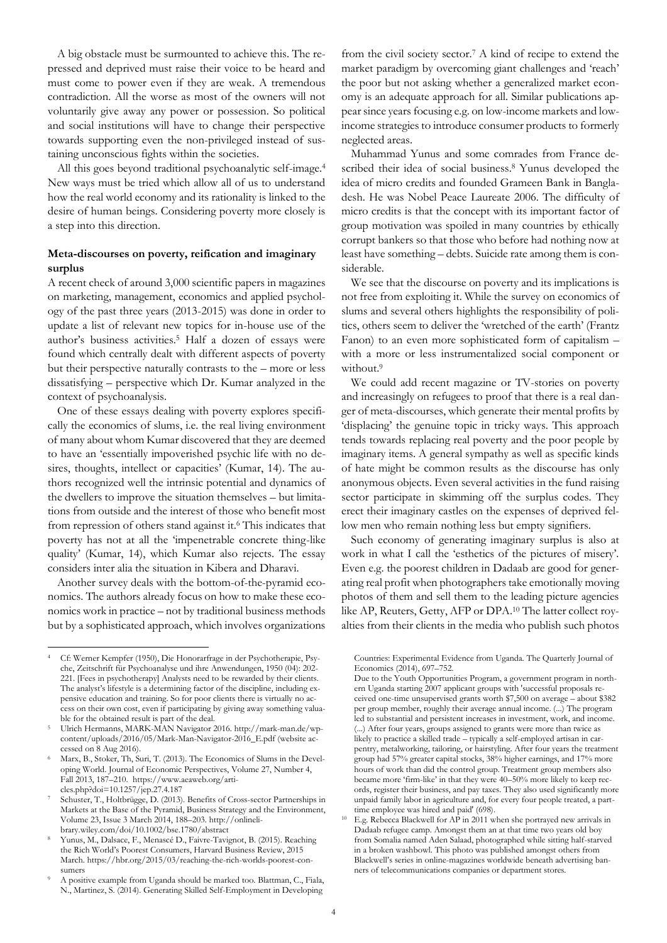A big obstacle must be surmounted to achieve this. The repressed and deprived must raise their voice to be heard and must come to power even if they are weak. A tremendous contradiction. All the worse as most of the owners will not voluntarily give away any power or possession. So political and social institutions will have to change their perspective towards supporting even the non-privileged instead of sustaining unconscious fights within the societies.

All this goes beyond traditional psychoanalytic self-image.<sup>4</sup> New ways must be tried which allow all of us to understand how the real world economy and its rationality is linked to the desire of human beings. Considering poverty more closely is a step into this direction.

# **Meta-discourses on poverty, reification and imaginary surplus**

A recent check of around 3,000 scientific papers in magazines on marketing, management, economics and applied psychology of the past three years (2013-2015) was done in order to update a list of relevant new topics for in-house use of the author's business activities.<sup>5</sup> Half a dozen of essays were found which centrally dealt with different aspects of poverty but their perspective naturally contrasts to the – more or less dissatisfying – perspective which Dr. Kumar analyzed in the context of psychoanalysis.

One of these essays dealing with poverty explores specifically the economics of slums, i.e. the real living environment of many about whom Kumar discovered that they are deemed to have an 'essentially impoverished psychic life with no desires, thoughts, intellect or capacities' (Kumar, 14). The authors recognized well the intrinsic potential and dynamics of the dwellers to improve the situation themselves – but limitations from outside and the interest of those who benefit most from repression of others stand against it.<sup>6</sup> This indicates that poverty has not at all the 'impenetrable concrete thing-like quality' (Kumar, 14), which Kumar also rejects. The essay considers inter alia the situation in Kibera and Dharavi.

Another survey deals with the bottom-of-the-pyramid economics. The authors already focus on how to make these economics work in practice – not by traditional business methods but by a sophisticated approach, which involves organizations

 $\overline{a}$ 

from the civil society sector.<sup>7</sup> A kind of recipe to extend the market paradigm by overcoming giant challenges and 'reach' the poor but not asking whether a generalized market economy is an adequate approach for all. Similar publications appear since years focusing e.g. on low-income markets and lowincome strategies to introduce consumer products to formerly neglected areas.

Muhammad Yunus and some comrades from France described their idea of social business.<sup>8</sup> Yunus developed the idea of micro credits and founded Grameen Bank in Bangladesh. He was Nobel Peace Laureate 2006. The difficulty of micro credits is that the concept with its important factor of group motivation was spoiled in many countries by ethically corrupt bankers so that those who before had nothing now at least have something – debts. Suicide rate among them is considerable.

We see that the discourse on poverty and its implications is not free from exploiting it. While the survey on economics of slums and several others highlights the responsibility of politics, others seem to deliver the 'wretched of the earth' (Frantz Fanon) to an even more sophisticated form of capitalism – with a more or less instrumentalized social component or without.<sup>9</sup>

We could add recent magazine or TV-stories on poverty and increasingly on refugees to proof that there is a real danger of meta-discourses, which generate their mental profits by 'displacing' the genuine topic in tricky ways. This approach tends towards replacing real poverty and the poor people by imaginary items. A general sympathy as well as specific kinds of hate might be common results as the discourse has only anonymous objects. Even several activities in the fund raising sector participate in skimming off the surplus codes. They erect their imaginary castles on the expenses of deprived fellow men who remain nothing less but empty signifiers.

Such economy of generating imaginary surplus is also at work in what I call the 'esthetics of the pictures of misery'. Even e.g. the poorest children in Dadaab are good for generating real profit when photographers take emotionally moving photos of them and sell them to the leading picture agencies like AP, Reuters, Getty, AFP or DPA.<sup>10</sup> The latter collect royalties from their clients in the media who publish such photos

<sup>4</sup> Cf: Werner Kempfer (1950), Die Honorarfrage in der Psychotherapie, Psyche, Zeitschrift für Psychoanalyse und ihre Anwendungen, 1950 (04): 202- 221. [Fees in psychotherapy] Analysts need to be rewarded by their clients. The analyst's lifestyle is a determining factor of the discipline, including expensive education and training. So for poor clients there is virtually no access on their own cost, even if participating by giving away something valuable for the obtained result is part of the deal.

<sup>5</sup> Ulrich Hermanns, MARK-MAN Navigator 2016. http://mark-man.de/wpcontent/uploads/2016/05/Mark-Man-Navigator-2016\_E.pdf (website accessed on 8 Aug 2016).

<sup>6</sup> Marx, B., Stoker, Th, Suri, T. (2013). The Economics of Slums in the Developing World. Journal of Economic Perspectives, Volume 27, Number 4, Fall 2013, 187–210. https://www.aeaweb.org/articles.php?doi=10.1257/jep.27.4.187

Schuster, T., Holtbrügge, D. (2013). Benefits of Cross-sector Partnerships in Markets at the Base of the Pyramid, Business Strategy and the Environment, Volume 23, Issue 3 March 2014, 188–203. http://onlinelibrary.wiley.com/doi/10.1002/bse.1780/abstract

<sup>8</sup> Yunus, M., Dalsace, F., Menascé D., Faivre-Tavignot, B. (2015). Reaching the Rich World's Poorest Consumers, Harvard Business Review, 2015 March. https://hbr.org/2015/03/reaching-the-rich-worlds-poorest-consumers

<sup>9</sup> A positive example from Uganda should be marked too. Blattman, C., Fiala, N., Martinez, S. (2014). Generating Skilled Self-Employment in Developing

Countries: Experimental Evidence from Uganda. The Quarterly Journal of Economics (2014), 697–752.

Due to the Youth Opportunities Program, a government program in northern Uganda starting 2007 applicant groups with 'successful proposals received one-time unsupervised grants worth \$7,500 on average – about \$382 per group member, roughly their average annual income. (...) The program led to substantial and persistent increases in investment, work, and income. (...) After four years, groups assigned to grants were more than twice as likely to practice a skilled trade – typically a self-employed artisan in carpentry, metalworking, tailoring, or hairstyling. After four years the treatment group had 57% greater capital stocks, 38% higher earnings, and 17% more hours of work than did the control group. Treatment group members also became more 'firm-like' in that they were 40–50% more likely to keep records, register their business, and pay taxes. They also used significantly more unpaid family labor in agriculture and, for every four people treated, a parttime employee was hired and paid' (698).

<sup>&</sup>lt;sup>10</sup> E.g. Rebecca Blackwell for  $AP$  in 2011 when she portrayed new arrivals in Dadaab refugee camp. Amongst them an at that time two years old boy from Somalia named Aden Salaad, photographed while sitting half-starved in a broken washbowl. This photo was published amongst others from Blackwell's series in online-magazines worldwide beneath advertising banners of telecommunications companies or department stores.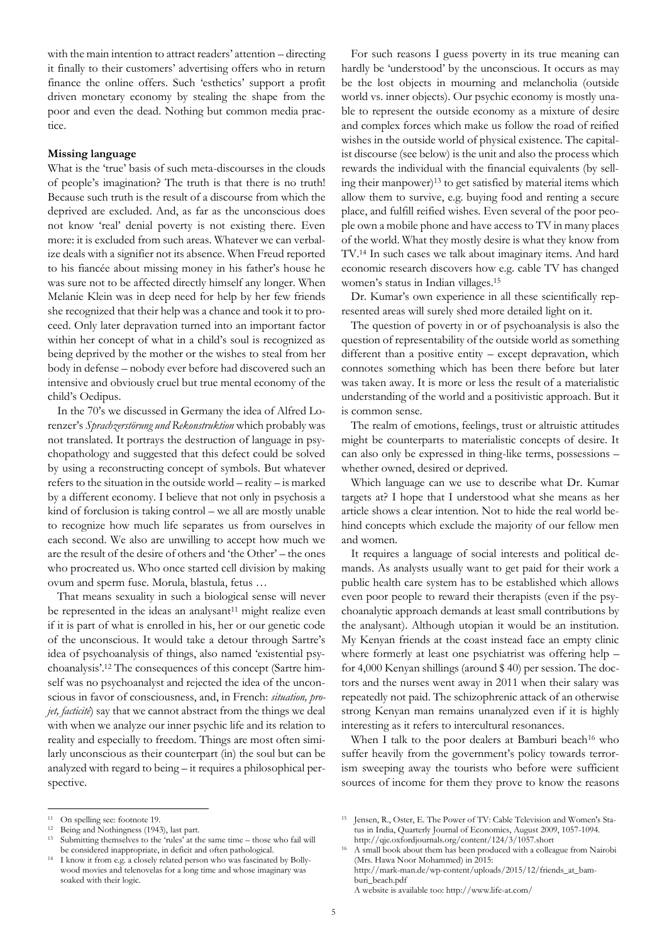with the main intention to attract readers' attention – directing it finally to their customers' advertising offers who in return finance the online offers. Such 'esthetics' support a profit driven monetary economy by stealing the shape from the poor and even the dead. Nothing but common media practice.

## **Missing language**

What is the 'true' basis of such meta-discourses in the clouds of people's imagination? The truth is that there is no truth! Because such truth is the result of a discourse from which the deprived are excluded. And, as far as the unconscious does not know 'real' denial poverty is not existing there. Even more: it is excluded from such areas. Whatever we can verbalize deals with a signifier not its absence. When Freud reported to his fiancée about missing money in his father's house he was sure not to be affected directly himself any longer. When Melanie Klein was in deep need for help by her few friends she recognized that their help was a chance and took it to proceed. Only later depravation turned into an important factor within her concept of what in a child's soul is recognized as being deprived by the mother or the wishes to steal from her body in defense – nobody ever before had discovered such an intensive and obviously cruel but true mental economy of the child's Oedipus.

In the 70's we discussed in Germany the idea of Alfred Lorenzer's *Sprachzerstörung und Rekonstruktion* which probably was not translated. It portrays the destruction of language in psychopathology and suggested that this defect could be solved by using a reconstructing concept of symbols. But whatever refers to the situation in the outside world – reality – is marked by a different economy. I believe that not only in psychosis a kind of forclusion is taking control – we all are mostly unable to recognize how much life separates us from ourselves in each second. We also are unwilling to accept how much we are the result of the desire of others and 'the Other' – the ones who procreated us. Who once started cell division by making ovum and sperm fuse. Morula, blastula, fetus …

That means sexuality in such a biological sense will never be represented in the ideas an analysant<sup>11</sup> might realize even if it is part of what is enrolled in his, her or our genetic code of the unconscious. It would take a detour through Sartre's idea of psychoanalysis of things, also named 'existential psychoanalysis'.<sup>12</sup> The consequences of this concept (Sartre himself was no psychoanalyst and rejected the idea of the unconscious in favor of consciousness, and, in French: *situation, projet, facticité*) say that we cannot abstract from the things we deal with when we analyze our inner psychic life and its relation to reality and especially to freedom. Things are most often similarly unconscious as their counterpart (in) the soul but can be analyzed with regard to being – it requires a philosophical perspective.

For such reasons I guess poverty in its true meaning can hardly be 'understood' by the unconscious. It occurs as may be the lost objects in mourning and melancholia (outside world vs. inner objects). Our psychic economy is mostly unable to represent the outside economy as a mixture of desire and complex forces which make us follow the road of reified wishes in the outside world of physical existence. The capitalist discourse (see below) is the unit and also the process which rewards the individual with the financial equivalents (by selling their manpower)<sup>13</sup> to get satisfied by material items which allow them to survive, e.g. buying food and renting a secure place, and fulfill reified wishes. Even several of the poor people own a mobile phone and have access to TV in many places of the world. What they mostly desire is what they know from TV.<sup>14</sup> In such cases we talk about imaginary items. And hard economic research discovers how e.g. cable TV has changed women's status in Indian villages.<sup>15</sup>

Dr. Kumar's own experience in all these scientifically represented areas will surely shed more detailed light on it.

The question of poverty in or of psychoanalysis is also the question of representability of the outside world as something different than a positive entity – except depravation, which connotes something which has been there before but later was taken away. It is more or less the result of a materialistic understanding of the world and a positivistic approach. But it is common sense.

The realm of emotions, feelings, trust or altruistic attitudes might be counterparts to materialistic concepts of desire. It can also only be expressed in thing-like terms, possessions – whether owned, desired or deprived.

Which language can we use to describe what Dr. Kumar targets at? I hope that I understood what she means as her article shows a clear intention. Not to hide the real world behind concepts which exclude the majority of our fellow men and women.

It requires a language of social interests and political demands. As analysts usually want to get paid for their work a public health care system has to be established which allows even poor people to reward their therapists (even if the psychoanalytic approach demands at least small contributions by the analysant). Although utopian it would be an institution. My Kenyan friends at the coast instead face an empty clinic where formerly at least one psychiatrist was offering help for 4,000 Kenyan shillings (around \$ 40) per session. The doctors and the nurses went away in 2011 when their salary was repeatedly not paid. The schizophrenic attack of an otherwise strong Kenyan man remains unanalyzed even if it is highly interesting as it refers to intercultural resonances.

When I talk to the poor dealers at Bamburi beach<sup>16</sup> who suffer heavily from the government's policy towards terrorism sweeping away the tourists who before were sufficient sources of income for them they prove to know the reasons

 $\overline{a}$ 

A website is available too: http://www.life-at.com/

<sup>11</sup> On spelling see: footnote 19.

<sup>&</sup>lt;sup>12</sup> Being and Nothingness (1943), last part.

Submitting themselves to the 'rules' at the same time – those who fail will be considered inappropriate, in deficit and often pathological.

<sup>14</sup> I know it from e.g. a closely related person who was fascinated by Bollywood movies and telenovelas for a long time and whose imaginary was soaked with their logic.

<sup>15</sup> Jensen, R., Oster, E. The Power of TV: Cable Television and Women's Status in India, Quarterly Journal of Economics, August 2009, 1057-1094. http://qje.oxfordjournals.org/content/124/3/1057.short

<sup>&</sup>lt;sup>16</sup> A small book about them has been produced with a colleague from Nairobi (Mrs. Hawa Noor Mohammed) in 2015: http://mark-man.de/wp-content/uploads/2015/12/friends\_at\_bamburi\_beach.pdf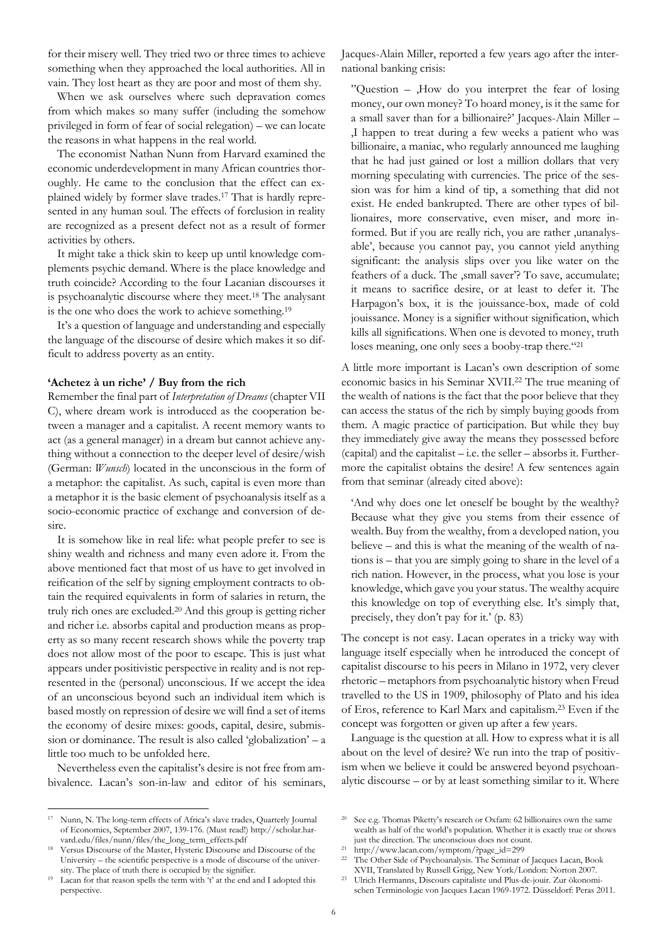for their misery well. They tried two or three times to achieve something when they approached the local authorities. All in vain. They lost heart as they are poor and most of them shy.

When we ask ourselves where such depravation comes from which makes so many suffer (including the somehow privileged in form of fear of social relegation) – we can locate the reasons in what happens in the real world.

The economist Nathan Nunn from Harvard examined the economic underdevelopment in many African countries thoroughly. He came to the conclusion that the effect can explained widely by former slave trades.<sup>17</sup> That is hardly represented in any human soul. The effects of forclusion in reality are recognized as a present defect not as a result of former activities by others.

It might take a thick skin to keep up until knowledge complements psychic demand. Where is the place knowledge and truth coincide? According to the four Lacanian discourses it is psychoanalytic discourse where they meet.<sup>18</sup> The analysant is the one who does the work to achieve something.<sup>19</sup>

It's a question of language and understanding and especially the language of the discourse of desire which makes it so difficult to address poverty as an entity.

### **'Achetez à un riche' / Buy from the rich**

Remember the final part of *Interpretation of Dreams* (chapter VII C), where dream work is introduced as the cooperation between a manager and a capitalist. A recent memory wants to act (as a general manager) in a dream but cannot achieve anything without a connection to the deeper level of desire/wish (German: *Wunsch*) located in the unconscious in the form of a metaphor: the capitalist. As such, capital is even more than a metaphor it is the basic element of psychoanalysis itself as a socio-economic practice of exchange and conversion of desire.

It is somehow like in real life: what people prefer to see is shiny wealth and richness and many even adore it. From the above mentioned fact that most of us have to get involved in reification of the self by signing employment contracts to obtain the required equivalents in form of salaries in return, the truly rich ones are excluded.<sup>20</sup> And this group is getting richer and richer i.e. absorbs capital and production means as property as so many recent research shows while the poverty trap does not allow most of the poor to escape. This is just what appears under positivistic perspective in reality and is not represented in the (personal) unconscious. If we accept the idea of an unconscious beyond such an individual item which is based mostly on repression of desire we will find a set of items the economy of desire mixes: goods, capital, desire, submission or dominance. The result is also called 'globalization' – a little too much to be unfolded here.

Nevertheless even the capitalist's desire is not free from ambivalence. Lacan's son-in-law and editor of his seminars,

 $\overline{a}$ <sup>17</sup> Nunn, N. The long-term effects of Africa's slave trades, Quarterly Journal of Economics, September 2007, 139-176. (Must read!) http://scholar.harvard.edu/files/nunn/files/the\_long\_term\_effects.pdf

Versus Discourse of the Master, Hysteric Discourse and Discourse of the University – the scientific perspective is a mode of discourse of the university. The place of truth there is occupied by the signifier.

Lacan for that reason spells the term with 't' at the end and I adopted this perspective.

Jacques-Alain Miller, reported a few years ago after the international banking crisis:

"Question –  $,$  How do you interpret the fear of losing money, our own money? To hoard money, is it the same for a small saver than for a billionaire?' Jacques-Alain Miller – 'I happen to treat during a few weeks a patient who was billionaire, a maniac, who regularly announced me laughing that he had just gained or lost a million dollars that very morning speculating with currencies. The price of the session was for him a kind of tip, a something that did not exist. He ended bankrupted. There are other types of billionaires, more conservative, even miser, and more informed. But if you are really rich, you are rather , unanalysable', because you cannot pay, you cannot yield anything significant: the analysis slips over you like water on the feathers of a duck. The ,small saver'? To save, accumulate; it means to sacrifice desire, or at least to defer it. The Harpagon's box, it is the jouissance-box, made of cold jouissance. Money is a signifier without signification, which kills all significations. When one is devoted to money, truth loses meaning, one only sees a booby-trap there."<sup>21</sup>

A little more important is Lacan's own description of some economic basics in his Seminar XVII.<sup>22</sup> The true meaning of the wealth of nations is the fact that the poor believe that they can access the status of the rich by simply buying goods from them. A magic practice of participation. But while they buy they immediately give away the means they possessed before (capital) and the capitalist – i.e. the seller – absorbs it. Furthermore the capitalist obtains the desire! A few sentences again from that seminar (already cited above):

'And why does one let oneself be bought by the wealthy? Because what they give you stems from their essence of wealth. Buy from the wealthy, from a developed nation, you believe – and this is what the meaning of the wealth of nations is – that you are simply going to share in the level of a rich nation. However, in the process, what you lose is your knowledge, which gave you your status. The wealthy acquire this knowledge on top of everything else. It's simply that, precisely, they don't pay for it.' (p. 83)

The concept is not easy. Lacan operates in a tricky way with language itself especially when he introduced the concept of capitalist discourse to his peers in Milano in 1972, very clever rhetoric – metaphors from psychoanalytic history when Freud travelled to the US in 1909, philosophy of Plato and his idea of Eros, reference to Karl Marx and capitalism. <sup>23</sup> Even if the concept was forgotten or given up after a few years.

Language is the question at all. How to express what it is all about on the level of desire? We run into the trap of positivism when we believe it could be answered beyond psychoanalytic discourse – or by at least something similar to it. Where

<sup>20</sup> See e.g. Thomas Piketty's research or Oxfam: 62 billionaires own the same wealth as half of the world's population. Whether it is exactly true or shows just the direction. The unconscious does not count.

<sup>21</sup> http://www.lacan.com/symptom/?page\_id=299

<sup>22</sup> The Other Side of Psychoanalysis. The Seminar of Jacques Lacan, Book XVII, Translated by Russell Grigg, New York/London: Norton 2007.

<sup>23</sup> Ulrich Hermanns, Discours capitaliste und Plus-de-jouir. Zur ökonomischen Terminologie von Jacques Lacan 1969-1972. Düsseldorf: Peras 2011.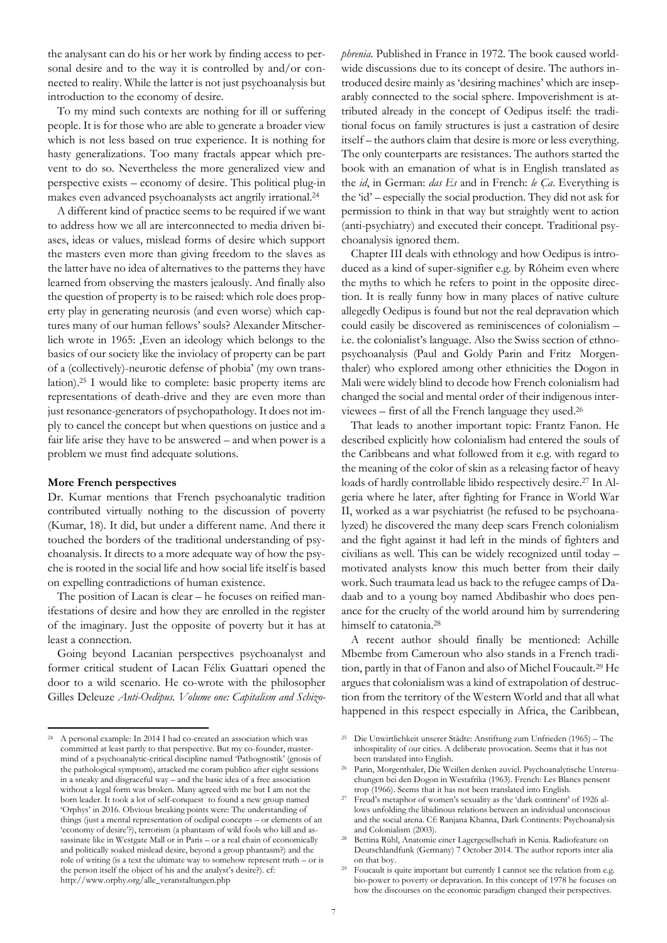the analysant can do his or her work by finding access to personal desire and to the way it is controlled by and/or connected to reality. While the latter is not just psychoanalysis but introduction to the economy of desire.

To my mind such contexts are nothing for ill or suffering people. It is for those who are able to generate a broader view which is not less based on true experience. It is nothing for hasty generalizations. Too many fractals appear which prevent to do so. Nevertheless the more generalized view and perspective exists – economy of desire. This political plug-in makes even advanced psychoanalysts act angrily irrational. 24

A different kind of practice seems to be required if we want to address how we all are interconnected to media driven biases, ideas or values, mislead forms of desire which support the masters even more than giving freedom to the slaves as the latter have no idea of alternatives to the patterns they have learned from observing the masters jealously. And finally also the question of property is to be raised: which role does property play in generating neurosis (and even worse) which captures many of our human fellows' souls? Alexander Mitscherlich wrote in 1965: , Even an ideology which belongs to the basics of our society like the inviolacy of property can be part of a (collectively)-neurotic defense of phobia' (my own translation).<sup>25</sup> I would like to complete: basic property items are representations of death-drive and they are even more than just resonance-generators of psychopathology. It does not imply to cancel the concept but when questions on justice and a fair life arise they have to be answered – and when power is a problem we must find adequate solutions.

## **More French perspectives**

 $\overline{a}$ 

Dr. Kumar mentions that French psychoanalytic tradition contributed virtually nothing to the discussion of poverty (Kumar, 18). It did, but under a different name. And there it touched the borders of the traditional understanding of psychoanalysis. It directs to a more adequate way of how the psyche is rooted in the social life and how social life itself is based on expelling contradictions of human existence.

The position of Lacan is clear – he focuses on reified manifestations of desire and how they are enrolled in the register of the imaginary. Just the opposite of poverty but it has at least a connection.

Going beyond Lacanian perspectives psychoanalyst and former critical student of Lacan Félix Guattari opened the door to a wild scenario. He co-wrote with the philosopher Gilles Deleuze *Anti-Oedipus. Volume one: Capitalism and Schizo-* *phrenia*. Published in France in 1972. The book caused worldwide discussions due to its concept of desire. The authors introduced desire mainly as 'desiring machines' which are inseparably connected to the social sphere. Impoverishment is attributed already in the concept of Oedipus itself: the traditional focus on family structures is just a castration of desire itself – the authors claim that desire is more or less everything. The only counterparts are resistances. The authors started the book with an emanation of what is in English translated as the *id*, in German: *das Es* and in French: *le Ça*. Everything is the 'id' – especially the social production. They did not ask for permission to think in that way but straightly went to action (anti-psychiatry) and executed their concept. Traditional psychoanalysis ignored them.

Chapter III deals with ethnology and how Oedipus is introduced as a kind of super-signifier e.g. by Róheim even where the myths to which he refers to point in the opposite direction. It is really funny how in many places of native culture allegedly Oedipus is found but not the real depravation which could easily be discovered as reminiscences of colonialism – i.e. the colonialist's language. Also the Swiss section of ethnopsychoanalysis (Paul and Goldy Parin and Fritz Morgenthaler) who explored among other ethnicities the Dogon in Mali were widely blind to decode how French colonialism had changed the social and mental order of their indigenous interviewees – first of all the French language they used. 26

That leads to another important topic: Frantz Fanon. He described explicitly how colonialism had entered the souls of the Caribbeans and what followed from it e.g. with regard to the meaning of the color of skin as a releasing factor of heavy loads of hardly controllable libido respectively desire.<sup>27</sup> In Algeria where he later, after fighting for France in World War II, worked as a war psychiatrist (he refused to be psychoanalyzed) he discovered the many deep scars French colonialism and the fight against it had left in the minds of fighters and civilians as well. This can be widely recognized until today – motivated analysts know this much better from their daily work. Such traumata lead us back to the refugee camps of Dadaab and to a young boy named Abdibashir who does penance for the cruelty of the world around him by surrendering himself to catatonia.<sup>28</sup>

A recent author should finally be mentioned: Achille Mbembe from Cameroun who also stands in a French tradition, partly in that of Fanon and also of Michel Foucault.<sup>29</sup> He argues that colonialism was a kind of extrapolation of destruction from the territory of the Western World and that all what happened in this respect especially in Africa, the Caribbean,

<sup>24</sup> A personal example: In 2014 I had co-created an association which was committed at least partly to that perspective. But my co-founder, mastermind of a psychoanalytic-critical discipline named 'Pathognostik' (gnosis of the pathological symptom), attacked me coram publico after eight sessions in a sneaky and disgraceful way – and the basic idea of a free association without a legal form was broken. Many agreed with me but I am not the born leader. It took a lot of self-conquest to found a new group named 'Orphys' in 2016. Obvious breaking points were: The understanding of things (just a mental representation of oedipal concepts – or elements of an 'economy of desire'?), terrorism (a phantasm of wild fools who kill and assassinate like in Westgate Mall or in Paris – or a real chain of economically and politically soaked mislead desire, beyond a group phantasm?) and the role of writing (is a text the ultimate way to somehow represent truth – or is the person itself the object of his and the analyst's desire?). cf: http://www.orphy.org/alle\_veranstaltungen.php

<sup>25</sup> Die Unwirtlichkeit unserer Städte: Anstiftung zum Unfrieden (1965) – The inhospitality of our cities. A deliberate provocation. Seems that it has not been translated into English.

<sup>26</sup> Parin, Morgenthaler, Die Weißen denken zuviel. Psychoanalytische Untersuchungen bei den Dogon in Westafrika (1963). French: Les Blancs pensent trop (1966). Seems that it has not been translated into English.

<sup>27</sup> Freud's metaphor of women's sexuality as the 'dark continent' of 1926 allows unfolding the libidinous relations between an individual unconscious and the social arena. Cf: Ranjana Khanna, Dark Continents: Psychoanalysis and Colonialism (2003).

<sup>28</sup> Bettina Rühl, Anatomie einer Lagergesellschaft in Kenia. Radiofeature on Deutschlandfunk (Germany) 7 October 2014. The author reports inter alia on that boy.

<sup>&</sup>lt;sup>29</sup> Foucault is quite important but currently I cannot see the relation from e.g. bio-power to poverty or depravation. In this concept of 1978 he focuses on how the discourses on the economic paradigm changed their perspectives.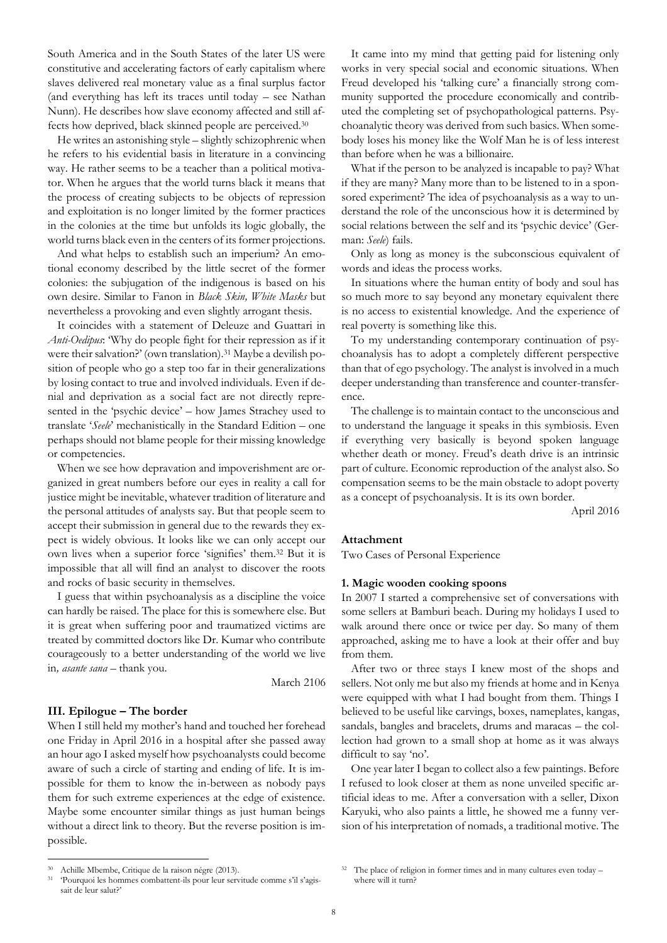South America and in the South States of the later US were constitutive and accelerating factors of early capitalism where slaves delivered real monetary value as a final surplus factor (and everything has left its traces until today – see Nathan Nunn). He describes how slave economy affected and still affects how deprived, black skinned people are perceived.<sup>30</sup>

He writes an astonishing style – slightly schizophrenic when he refers to his evidential basis in literature in a convincing way. He rather seems to be a teacher than a political motivator. When he argues that the world turns black it means that the process of creating subjects to be objects of repression and exploitation is no longer limited by the former practices in the colonies at the time but unfolds its logic globally, the world turns black even in the centers of its former projections.

And what helps to establish such an imperium? An emotional economy described by the little secret of the former colonies: the subjugation of the indigenous is based on his own desire. Similar to Fanon in *Black Skin, White Masks* but nevertheless a provoking and even slightly arrogant thesis.

It coincides with a statement of Deleuze and Guattari in *Anti-Oedipus*: 'Why do people fight for their repression as if it were their salvation?' (own translation).<sup>31</sup> Maybe a devilish position of people who go a step too far in their generalizations by losing contact to true and involved individuals. Even if denial and deprivation as a social fact are not directly represented in the 'psychic device' – how James Strachey used to translate '*Seele*' mechanistically in the Standard Edition – one perhaps should not blame people for their missing knowledge or competencies.

When we see how depravation and impoverishment are organized in great numbers before our eyes in reality a call for justice might be inevitable, whatever tradition of literature and the personal attitudes of analysts say. But that people seem to accept their submission in general due to the rewards they expect is widely obvious. It looks like we can only accept our own lives when a superior force 'signifies' them.<sup>32</sup> But it is impossible that all will find an analyst to discover the roots and rocks of basic security in themselves.

I guess that within psychoanalysis as a discipline the voice can hardly be raised. The place for this is somewhere else. But it is great when suffering poor and traumatized victims are treated by committed doctors like Dr. Kumar who contribute courageously to a better understanding of the world we live in*, asante sana* – thank you.

March 2106

## **III. Epilogue – The border**

When I still held my mother's hand and touched her forehead one Friday in April 2016 in a hospital after she passed away an hour ago I asked myself how psychoanalysts could become aware of such a circle of starting and ending of life. It is impossible for them to know the in-between as nobody pays them for such extreme experiences at the edge of existence. Maybe some encounter similar things as just human beings without a direct link to theory. But the reverse position is impossible.

It came into my mind that getting paid for listening only works in very special social and economic situations. When Freud developed his 'talking cure' a financially strong community supported the procedure economically and contributed the completing set of psychopathological patterns. Psychoanalytic theory was derived from such basics. When somebody loses his money like the Wolf Man he is of less interest than before when he was a billionaire.

What if the person to be analyzed is incapable to pay? What if they are many? Many more than to be listened to in a sponsored experiment? The idea of psychoanalysis as a way to understand the role of the unconscious how it is determined by social relations between the self and its 'psychic device' (German: *Seele*) fails.

Only as long as money is the subconscious equivalent of words and ideas the process works.

In situations where the human entity of body and soul has so much more to say beyond any monetary equivalent there is no access to existential knowledge. And the experience of real poverty is something like this.

To my understanding contemporary continuation of psychoanalysis has to adopt a completely different perspective than that of ego psychology. The analyst is involved in a much deeper understanding than transference and counter-transference.

The challenge is to maintain contact to the unconscious and to understand the language it speaks in this symbiosis. Even if everything very basically is beyond spoken language whether death or money. Freud's death drive is an intrinsic part of culture. Economic reproduction of the analyst also. So compensation seems to be the main obstacle to adopt poverty as a concept of psychoanalysis. It is its own border.

April 2016

### **Attachment**

Two Cases of Personal Experience

#### **1. Magic wooden cooking spoons**

In 2007 I started a comprehensive set of conversations with some sellers at Bamburi beach. During my holidays I used to walk around there once or twice per day. So many of them approached, asking me to have a look at their offer and buy from them.

After two or three stays I knew most of the shops and sellers. Not only me but also my friends at home and in Kenya were equipped with what I had bought from them. Things I believed to be useful like carvings, boxes, nameplates, kangas, sandals, bangles and bracelets, drums and maracas – the collection had grown to a small shop at home as it was always difficult to say 'no'.

One year later I began to collect also a few paintings. Before I refused to look closer at them as none unveiled specific artificial ideas to me. After a conversation with a seller, Dixon Karyuki, who also paints a little, he showed me a funny version of his interpretation of nomads, a traditional motive. The

 $\overline{a}$ 

<sup>30</sup> Achille Mbembe, Critique de la raison négre (2013).

<sup>31</sup> 'Pourquoi les hommes combattent-ils pour leur servitude comme s'il s'agissait de leur salut?'

<sup>&</sup>lt;sup>32</sup> The place of religion in former times and in many cultures even today – where will it turn?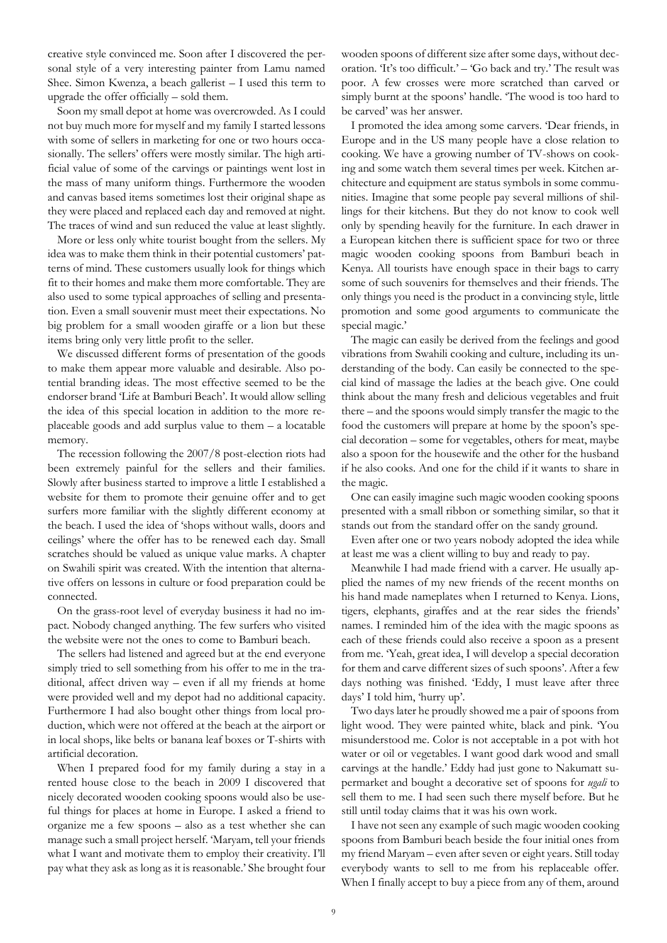creative style convinced me. Soon after I discovered the personal style of a very interesting painter from Lamu named Shee. Simon Kwenza, a beach gallerist – I used this term to upgrade the offer officially – sold them.

Soon my small depot at home was overcrowded. As I could not buy much more for myself and my family I started lessons with some of sellers in marketing for one or two hours occasionally. The sellers' offers were mostly similar. The high artificial value of some of the carvings or paintings went lost in the mass of many uniform things. Furthermore the wooden and canvas based items sometimes lost their original shape as they were placed and replaced each day and removed at night. The traces of wind and sun reduced the value at least slightly.

More or less only white tourist bought from the sellers. My idea was to make them think in their potential customers' patterns of mind. These customers usually look for things which fit to their homes and make them more comfortable. They are also used to some typical approaches of selling and presentation. Even a small souvenir must meet their expectations. No big problem for a small wooden giraffe or a lion but these items bring only very little profit to the seller.

We discussed different forms of presentation of the goods to make them appear more valuable and desirable. Also potential branding ideas. The most effective seemed to be the endorser brand 'Life at Bamburi Beach'. It would allow selling the idea of this special location in addition to the more replaceable goods and add surplus value to them – a locatable memory.

The recession following the 2007/8 post-election riots had been extremely painful for the sellers and their families. Slowly after business started to improve a little I established a website for them to promote their genuine offer and to get surfers more familiar with the slightly different economy at the beach. I used the idea of 'shops without walls, doors and ceilings' where the offer has to be renewed each day. Small scratches should be valued as unique value marks. A chapter on Swahili spirit was created. With the intention that alternative offers on lessons in culture or food preparation could be connected.

On the grass-root level of everyday business it had no impact. Nobody changed anything. The few surfers who visited the website were not the ones to come to Bamburi beach.

The sellers had listened and agreed but at the end everyone simply tried to sell something from his offer to me in the traditional, affect driven way – even if all my friends at home were provided well and my depot had no additional capacity. Furthermore I had also bought other things from local production, which were not offered at the beach at the airport or in local shops, like belts or banana leaf boxes or T-shirts with artificial decoration.

When I prepared food for my family during a stay in a rented house close to the beach in 2009 I discovered that nicely decorated wooden cooking spoons would also be useful things for places at home in Europe. I asked a friend to organize me a few spoons – also as a test whether she can manage such a small project herself. 'Maryam, tell your friends what I want and motivate them to employ their creativity. I'll pay what they ask as long as it is reasonable.' She brought four

wooden spoons of different size after some days, without decoration. 'It's too difficult.' – 'Go back and try.' The result was poor. A few crosses were more scratched than carved or simply burnt at the spoons' handle. 'The wood is too hard to be carved' was her answer.

I promoted the idea among some carvers. 'Dear friends, in Europe and in the US many people have a close relation to cooking. We have a growing number of TV-shows on cooking and some watch them several times per week. Kitchen architecture and equipment are status symbols in some communities. Imagine that some people pay several millions of shillings for their kitchens. But they do not know to cook well only by spending heavily for the furniture. In each drawer in a European kitchen there is sufficient space for two or three magic wooden cooking spoons from Bamburi beach in Kenya. All tourists have enough space in their bags to carry some of such souvenirs for themselves and their friends. The only things you need is the product in a convincing style, little promotion and some good arguments to communicate the special magic.'

The magic can easily be derived from the feelings and good vibrations from Swahili cooking and culture, including its understanding of the body. Can easily be connected to the special kind of massage the ladies at the beach give. One could think about the many fresh and delicious vegetables and fruit there – and the spoons would simply transfer the magic to the food the customers will prepare at home by the spoon's special decoration – some for vegetables, others for meat, maybe also a spoon for the housewife and the other for the husband if he also cooks. And one for the child if it wants to share in the magic.

One can easily imagine such magic wooden cooking spoons presented with a small ribbon or something similar, so that it stands out from the standard offer on the sandy ground.

Even after one or two years nobody adopted the idea while at least me was a client willing to buy and ready to pay.

Meanwhile I had made friend with a carver. He usually applied the names of my new friends of the recent months on his hand made nameplates when I returned to Kenya. Lions, tigers, elephants, giraffes and at the rear sides the friends' names. I reminded him of the idea with the magic spoons as each of these friends could also receive a spoon as a present from me. 'Yeah, great idea, I will develop a special decoration for them and carve different sizes of such spoons'. After a few days nothing was finished. 'Eddy, I must leave after three days' I told him, 'hurry up'.

Two days later he proudly showed me a pair of spoons from light wood. They were painted white, black and pink. 'You misunderstood me. Color is not acceptable in a pot with hot water or oil or vegetables. I want good dark wood and small carvings at the handle.' Eddy had just gone to Nakumatt supermarket and bought a decorative set of spoons for *ugali* to sell them to me. I had seen such there myself before. But he still until today claims that it was his own work.

I have not seen any example of such magic wooden cooking spoons from Bamburi beach beside the four initial ones from my friend Maryam – even after seven or eight years. Still today everybody wants to sell to me from his replaceable offer. When I finally accept to buy a piece from any of them, around